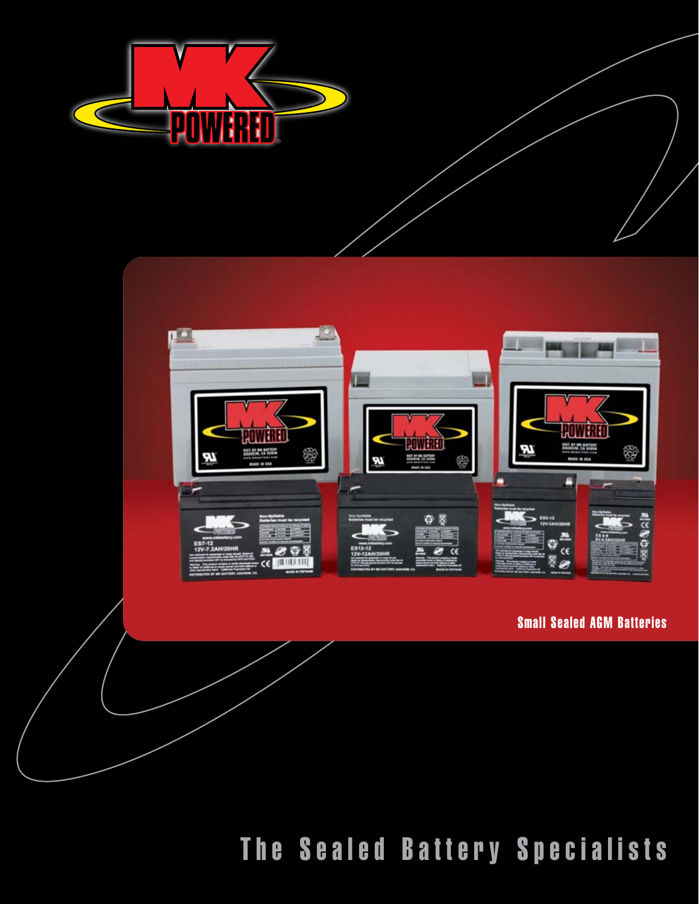



#### Small Sealed AGM Batteries

The Sealed Battery Specialists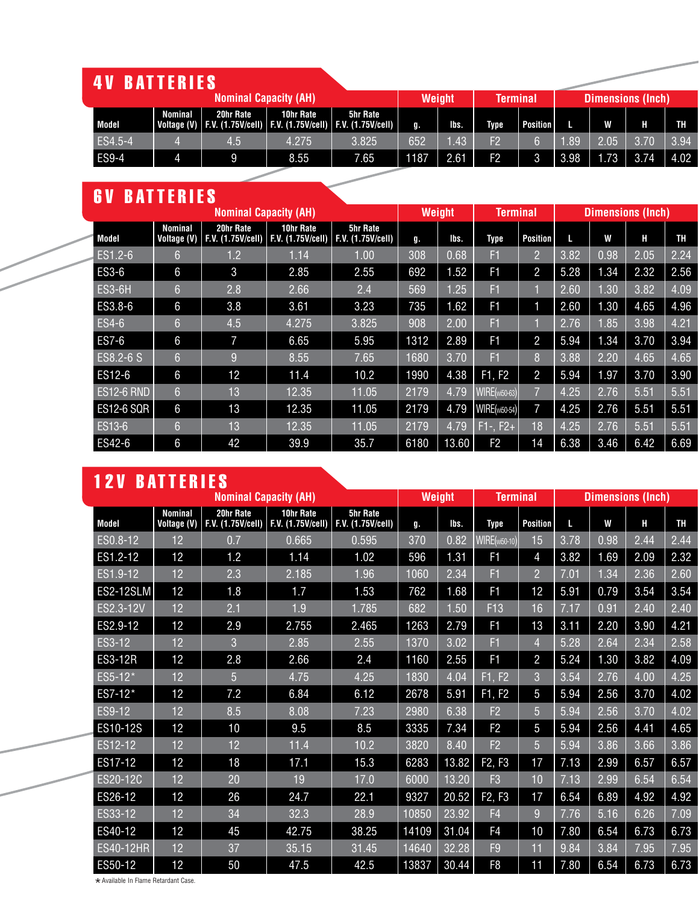| <b>4V BATTERIES</b> !<br><b>Nominal Capacity (AH)</b> |              |         |           |           |                                                                                              |        |                  |                |                 |      |                          |      |      |
|-------------------------------------------------------|--------------|---------|-----------|-----------|----------------------------------------------------------------------------------------------|--------|------------------|----------------|-----------------|------|--------------------------|------|------|
|                                                       |              |         |           |           |                                                                                              | Weight | <b>Terminal</b>  |                |                 |      | <b>Dimensions (Inch)</b> |      |      |
|                                                       | Model        | Nominal | 20hr Rate | 10hr Rate | <b>5hr Rate</b><br>  Voltage (V)   F.V. (1.75V/cell)   F.V. (1.75V/cell)   F.V. (1.75V/cell) | Ţŀ.    | lbs.             | Type           | <b>Position</b> |      | W                        | Н    | TH   |
|                                                       | ES4.5-4      |         | 4.5       | 4.275     | 3.825                                                                                        | 652    | .43 <sub>l</sub> | F2             |                 | .89  | 2.05                     | 3.70 | 3.94 |
|                                                       | <b>ES9-4</b> |         | 9         | 8.55      | 7.65                                                                                         | 1187   | 2.61             | F <sub>2</sub> | 3               | 3.98 | 1.73                     | 3.74 | 4.02 |

## 6V BATTERIES

| <b>Nominal Capacity (AH)</b> |                   |                               |                                |                                |                                      | <b>Weight</b> |       | <b>Terminal</b> |                | <b>Dimensions (Inch)</b> |      |      |           |
|------------------------------|-------------------|-------------------------------|--------------------------------|--------------------------------|--------------------------------------|---------------|-------|-----------------|----------------|--------------------------|------|------|-----------|
|                              | Model             | <b>Nominal</b><br>Voltage (V) | 20hr Rate<br>F.V. (1.75V/cell) | 10hr Rate<br>F.V. (1.75V/cell) | <b>5hr Rate</b><br>F.V. (1.75V/cell) | g.            | lbs.  | <b>Type</b>     | Position       | L                        | W    | н    | <b>TH</b> |
|                              | ES1.2-6           | 6                             | $\overline{1}$ .2              | 1.14                           | 1.00                                 | 308           | 0.68  | F1              | 2              | 3.82                     | 0.98 | 2.05 | 2.24      |
|                              | ES3-6             | 6                             | $\mathbf{3}$                   | 2.85                           | 2.55                                 | 692           | 1.52  | F <sub>1</sub>  | $\overline{2}$ | 5.28                     | 1.34 | 2.32 | 2.56      |
|                              | <b>ES3-6H</b>     | 6                             | 2.8                            | 2.66                           | 2.4                                  | 569           | 1.25  | F1              |                | 2.60                     | 1.30 | 3.82 | 4.09      |
|                              | ES3.8-6           | 6                             | 3.8                            | 3.61                           | 3.23                                 | 735           | 1.62  | F <sub>1</sub>  | íl             | 2.60                     | 1.30 | 4.65 | 4.96      |
|                              | ES4-6             | 6                             | 4.5                            | 4.275                          | 3.825                                | 908           | 2.00  | F1              |                | 2.76                     | 1.85 | 3.98 | 4.21      |
|                              | ES7-6             | 6                             | 7                              | 6.65                           | 5.95                                 | 1312          | 2.89  | F <sub>1</sub>  | $\overline{2}$ | 5.94                     | 1.34 | 3.70 | 3.94      |
|                              | ES8.2-6 S         | 6                             | 9                              | 8.55                           | 7.65                                 | 1680          | 3.70  | F1              | 8              | 3.88                     | 2.20 | 4.65 | 4.65      |
|                              | ES12-6            | 6                             | 12                             | 11.4                           | 10.2                                 | 1990          | 4.38  | F1, F2          | $\overline{2}$ | 5.94                     | 1.97 | 3.70 | 3.90      |
|                              | <b>ES12-6 RND</b> | 6                             | 13                             | 12.35                          | 11.05                                | 2179          | 4.79  | $WIRE(wi50-63)$ | 7              | 4.25                     | 2.76 | 5.51 | 5.51      |
|                              | <b>ES12-6 SQR</b> | $6\phantom{a}$                | 13                             | 12.35                          | 11.05                                | 2179          | 4.79  | WIRE(wi50-54)   | 7              | 4.25                     | 2.76 | 5.51 | 5.51      |
|                              | ES13-6            | 6                             | 13                             | 12.35                          | 11.05                                | 2179          | 4.79  | $F1 - F2 +$     | 18             | 4.25                     | 2.76 | 5.51 | 5.51      |
|                              | ES42-6            | 6                             | 42                             | 39.9                           | 35.7                                 | 6180          | 13.60 | F <sub>2</sub>  | 14             | 6.38                     | 3.46 | 6.42 | 6.69      |

|                              | <b>12V BATTERIES</b> |                               |                                |                                |                                      |        |       |                                 |                 |      |                          |      |           |
|------------------------------|----------------------|-------------------------------|--------------------------------|--------------------------------|--------------------------------------|--------|-------|---------------------------------|-----------------|------|--------------------------|------|-----------|
| <b>Nominal Capacity (AH)</b> |                      |                               |                                |                                |                                      | Weight |       |                                 | <b>Terminal</b> |      | <b>Dimensions (Inch)</b> |      |           |
|                              | <b>Model</b>         | <b>Nominal</b><br>Voltage (V) | 20hr Rate<br>F.V. (1.75V/cell) | 10hr Rate<br>F.V. (1.75V/cell) | <b>5hr Rate</b><br>F.V. (1.75V/cell) | g.     | lbs.  | <b>Type</b>                     | <b>Position</b> | L    | W                        | н    | <b>TH</b> |
|                              | ES0.8-12             | 12                            | 0.7                            | 0.665                          | 0.595                                | 370    | 0.82  | $WIRE(wi50-10)$                 | 15              | 3.78 | 0.98                     | 2.44 | 2.44      |
|                              | ES1.2-12             | 12                            | 1.2                            | 1.14                           | 1.02                                 | 596    | 1.31  | F <sub>1</sub>                  | 4               | 3.82 | 1.69                     | 2.09 | 2.32      |
|                              | ES1.9-12             | 12                            | 2.3                            | 2.185                          | 1.96                                 | 1060   | 2.34  | F <sub>1</sub>                  | $\overline{2}$  | 7.01 | 1.34                     | 2.36 | 2.60      |
|                              | <b>ES2-12SLM</b>     | 12                            | 1.8                            | 1.7                            | 1.53                                 | 762    | 1.68  | F <sub>1</sub>                  | 12              | 5.91 | 0.79                     | 3.54 | 3.54      |
|                              | ES2.3-12V            | 12                            | 2.1                            | 1.9                            | 1.785                                | 682    | 1.50  | F13                             | 16              | 7.17 | 0.91                     | 2.40 | 2.40      |
|                              | ES2.9-12             | 12                            | 2.9                            | 2.755                          | 2.465                                | 1263   | 2.79  | F <sub>1</sub>                  | 13              | 3.11 | 2.20                     | 3.90 | 4.21      |
|                              | ES3-12               | 12                            | 3                              | 2.85                           | 2.55                                 | 1370   | 3.02  | F1                              | $\overline{4}$  | 5.28 | 2.64                     | 2.34 | 2.58      |
|                              | <b>ES3-12R</b>       | 12                            | 2.8                            | 2.66                           | 2.4                                  | 1160   | 2.55  | F <sub>1</sub>                  | $\overline{c}$  | 5.24 | 1.30                     | 3.82 | 4.09      |
|                              | ES5-12*              | 12                            | 5                              | 4.75                           | 4.25                                 | 1830   | 4.04  | F1, F2                          | 3               | 3.54 | 2.76                     | 4.00 | 4.25      |
|                              | ES7-12*              | 12                            | 7.2                            | 6.84                           | 6.12                                 | 2678   | 5.91  | F1, F2                          | 5               | 5.94 | 2.56                     | 3.70 | 4.02      |
|                              | ES9-12               | 12                            | 8.5                            | 8.08                           | 7.23                                 | 2980   | 6.38  | F <sub>2</sub>                  | 5               | 5.94 | 2.56                     | 3.70 | 4.02      |
|                              | ES10-12S             | 12                            | 10                             | 9.5                            | 8.5                                  | 3335   | 7.34  | F <sub>2</sub>                  | 5               | 5.94 | 2.56                     | 4.41 | 4.65      |
|                              | ES12-12              | 12                            | 12                             | 11.4                           | 10.2                                 | 3820   | 8.40  | F <sub>2</sub>                  | 5               | 5.94 | 3.86                     | 3.66 | 3.86      |
|                              | ES17-12              | 12                            | 18                             | 17.1                           | 15.3                                 | 6283   | 13.82 | F <sub>2</sub> , F <sub>3</sub> | 17              | 7.13 | 2.99                     | 6.57 | 6.57      |
|                              | ES20-12C             | 12                            | 20                             | 19                             | 17.0                                 | 6000   | 13.20 | F <sub>3</sub>                  | 10              | 7.13 | 2.99                     | 6.54 | 6.54      |
|                              | ES26-12              | 12                            | 26                             | 24.7                           | 22.1                                 | 9327   | 20.52 | F <sub>2</sub> , F <sub>3</sub> | 17              | 6.54 | 6.89                     | 4.92 | 4.92      |
|                              | ES33-12              | 12                            | 34                             | 32.3                           | 28.9                                 | 10850  | 23.92 | F <sub>4</sub>                  | 9               | 7.76 | 5.16                     | 6.26 | 7.09      |
|                              | ES40-12              | 12                            | 45                             | 42.75                          | 38.25                                | 14109  | 31.04 | F4                              | 10              | 7.80 | 6.54                     | 6.73 | 6.73      |
|                              | <b>ES40-12HR</b>     | 12                            | 37                             | 35.15                          | 31.45                                | 14640  | 32.28 | F <sub>9</sub>                  | 11              | 9.84 | 3.84                     | 7.95 | 7.95      |
|                              | ES50-12              | 12                            | 50                             | 47.5                           | 42.5                                 | 13837  | 30.44 | F8                              | 11              | 7.80 | 6.54                     | 6.73 | 6.73      |

 $\star$  Available In Flame Retardant Case.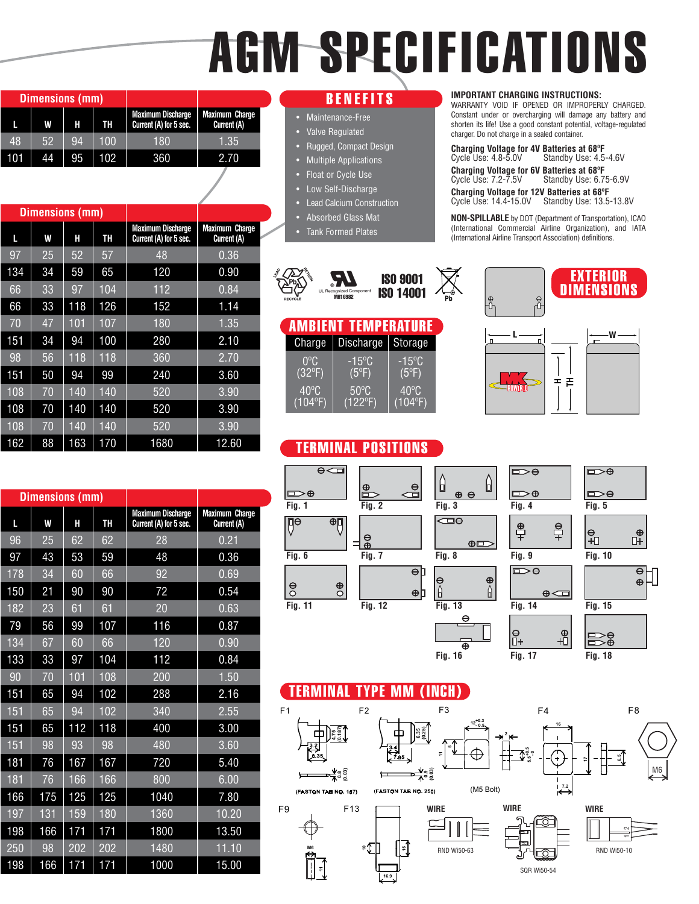# AGM SPECIFICATIONS

|     | Dimensions (mm) |    |     |                                                    |                                      |
|-----|-----------------|----|-----|----------------------------------------------------|--------------------------------------|
|     | W               | н  | TH  | <b>Maximum Discharge</b><br>Current (A) for 5 sec. | <b>Maximum Charge</b><br>Current (A) |
| 48  | 52              | 94 | 100 | 180                                                | 1.35                                 |
| 101 | 44              | 95 | 102 | 360                                                | 2.70                                 |

 $L$  **W**  $H$  **H** TH **Current (A)** for 5 sec.

**Dimensions (mm)**

70 47 101 107 180 1.35 151 34 94 100 280 2.10 98 56 118 118 360 2.70 151 50 94 99 240 3.60 108 | 70 | 140 | 140 | 520 | 3.90 108 | 70 | 140 | 140 | 520 | 3.90 108 | 70 | 140 | 140 | 520 | 3.90 162 88 163 170 1680 12.60

**Maximum Discharge** Maximum Charge<br>Current (A) for 5 sec. Current (A)

#### **BENEFITS**

- Maintenance-Free
- Valve Regulated
- Rugged, Compact Design
- Multiple Applications
- Float or Cycle Use
- **Low Self-Discharge**
- Lead Calcium Construction
- Absorbed Glass Mat
- **Tank Formed Plates**

#### ognized Co.<br>**MH16982** ISO 14001 ISO 9001

|                 | <b>AMBIENT TEMPERATURE</b> |                 |
|-----------------|----------------------------|-----------------|
| Charge          | <b>Discharge</b>           | Storage         |
| $0^{\circ}$ C   | -15°C                      | $-15^{\circ}$ C |
| $(32^{\circ}F)$ | $(5^{\circ}F)$             | $(5^{\circ}F)$  |
| $40^{\circ}$ C  | $50^{\circ}$ C             | $40^{\circ}$ C  |
| (104°F)         | $(122^{\circ}F)$           | (104°F)         |

#### TERMINAL POSITIONS



WARRANTY VOID IF OPENED OR IMPROPERLY CHARGED. Constant under or overcharging will damage any battery and shorten its life! Use a good constant potential, voltage-regulated charger. Do not charge in a sealed container.

**Charging Voltage for 4V Batteries at 68ºF** Standby Use: 4.5-4.6V **Charging Voltage for 6V Batteries at 68ºF** Cycle Use: 7.2-7.5V Standby Use: 6.75-6.9V

**Charging Voltage for 12V Batteries at 68ºF** Cycle Use: 14.4-15.0V Standby Use: 13.5-13.8V

**NON-SPILLABLE** by DOT (Department of Transportation), ICAO (International Commercial Airline Organization), and IATA (International Airline Transport Association) definitions.





|     | <b>Dimensions (mm)</b> |     |     |                                                    |                                      |  |
|-----|------------------------|-----|-----|----------------------------------------------------|--------------------------------------|--|
| L   | W                      | Н   | TH  | <b>Maximum Discharge</b><br>Current (A) for 5 sec. | <b>Maximum Charge</b><br>Current (A) |  |
| 96  | 25                     | 62  | 62  | 28                                                 | 0.21                                 |  |
| 97  | 43                     | 53  | 59  | 48                                                 | 0.36                                 |  |
| 178 | 34                     | 60  | 66  | 92                                                 | 0.69                                 |  |
| 150 | 21                     | 90  | 90  | 72                                                 | 0.54                                 |  |
| 182 | 23                     | 61  | 61  | $\overline{20}$                                    | 0.63                                 |  |
| 79  | 56                     | 99  | 107 | 116                                                | 0.87                                 |  |
| 134 | 67                     | 60  | 66  | 120                                                | 0.90                                 |  |
| 133 | 33                     | 97  | 104 | 112                                                | 0.84                                 |  |
| 90  | 70                     | 101 | 108 | 200                                                | 1.50                                 |  |
| 151 | 65                     | 94  | 102 | 288                                                | 2.16                                 |  |
| 151 | 65                     | 94  | 102 | 340                                                | 2.55                                 |  |
| 151 | 65                     | 112 | 118 | 400                                                | 3.00                                 |  |
| 151 | 98                     | 93  | 98  | 480                                                | 3.60                                 |  |
| 181 | 76                     | 167 | 167 | 720                                                | 5.40                                 |  |
| 181 | 76                     | 166 | 166 | 800                                                | 6.00                                 |  |
| 166 | 175                    | 125 | 125 | 1040                                               | 7.80                                 |  |
| 197 | 131                    | 159 | 180 | 1360                                               | 10.20                                |  |
| 198 | 166                    | 171 | 171 | 1800                                               | 13.50                                |  |
| 250 | 98                     | 202 | 202 | 1480                                               | 11.10                                |  |
| 198 | 166                    | 171 | 171 | 1000                                               | 15.00                                |  |



 $\frac{\oplus}{\Gamma}$ 

#### TERMINAL TYPE MM (INCH)



**Fig. 16 Fig. 17 Fig. 18**

97 | 25 | 52 | 57 | 48 | 0.36 134 | 34 | 59 | 65 | 120 | 0.90 66 33 97 104 112 0.84 66 33 118 126 152 1.14